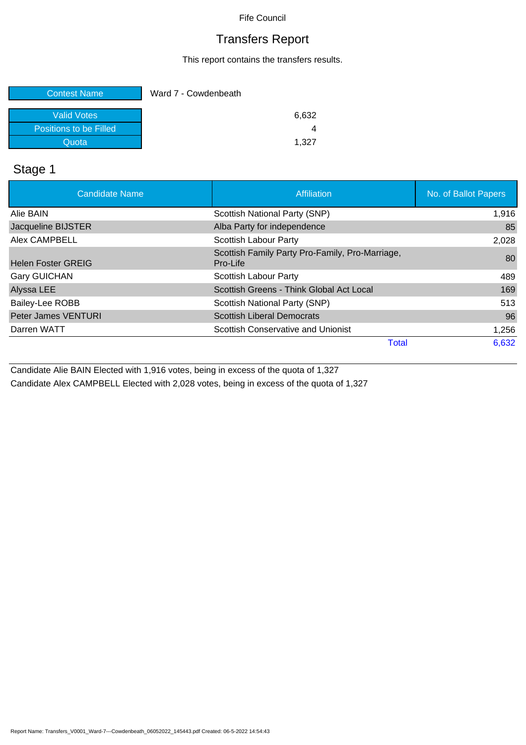# Transfers Report

This report contains the transfers results.

| <b>Contest Name</b>    | Ward 7 - Cowdenbeath |
|------------------------|----------------------|
|                        |                      |
| Valid Votes            | 6,632                |
| Positions to be Filled |                      |
| Quota                  | 1.327                |

# Stage 1

| <b>Candidate Name</b>      | Affiliation                                                 | No. of Ballot Papers |
|----------------------------|-------------------------------------------------------------|----------------------|
| Alie BAIN                  | Scottish National Party (SNP)                               | 1,916                |
| Jacqueline BIJSTER         | Alba Party for independence                                 | 85                   |
| <b>Alex CAMPBELL</b>       | Scottish Labour Party                                       | 2,028                |
| <b>Helen Foster GREIG</b>  | Scottish Family Party Pro-Family, Pro-Marriage,<br>Pro-Life | 80                   |
| <b>Gary GUICHAN</b>        | Scottish Labour Party                                       | 489                  |
| Alyssa LEE                 | Scottish Greens - Think Global Act Local                    | 169                  |
| Bailey-Lee ROBB            | Scottish National Party (SNP)                               | 513                  |
| <b>Peter James VENTURI</b> | <b>Scottish Liberal Democrats</b>                           | 96                   |
| Darren WATT                | Scottish Conservative and Unionist                          | 1,256                |
|                            | <b>Total</b>                                                | 6,632                |

Candidate Alie BAIN Elected with 1,916 votes, being in excess of the quota of 1,327

Candidate Alex CAMPBELL Elected with 2,028 votes, being in excess of the quota of 1,327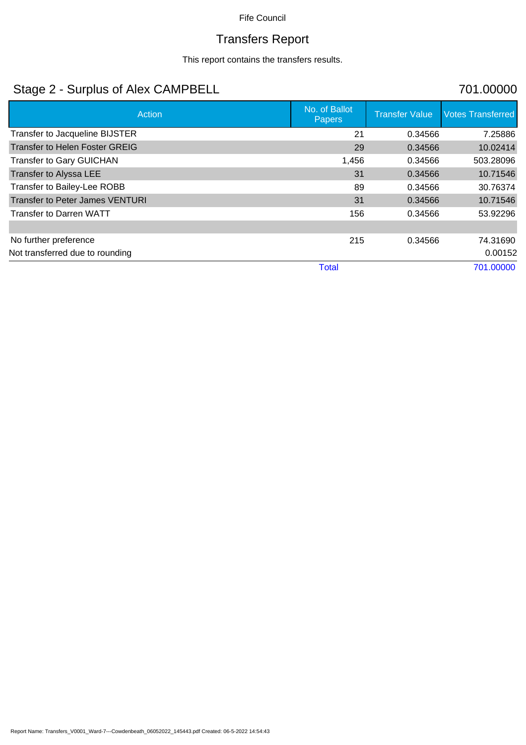# Transfers Report

This report contains the transfers results.

# Stage 2 - Surplus of Alex CAMPBELL 701.00000

| Action                                 | No. of Ballot<br>Papers | <b>Transfer Value</b> | <b>Votes Transferred</b> |
|----------------------------------------|-------------------------|-----------------------|--------------------------|
| Transfer to Jacqueline BIJSTER         | 21                      | 0.34566               | 7.25886                  |
| Transfer to Helen Foster GREIG         | 29                      | 0.34566               | 10.02414                 |
| <b>Transfer to Gary GUICHAN</b>        | 1,456                   | 0.34566               | 503.28096                |
| Transfer to Alyssa LEE                 | 31                      | 0.34566               | 10.71546                 |
| Transfer to Bailey-Lee ROBB            | 89                      | 0.34566               | 30.76374                 |
| <b>Transfer to Peter James VENTURI</b> | 31                      | 0.34566               | 10.71546                 |
| <b>Transfer to Darren WATT</b>         | 156                     | 0.34566               | 53.92296                 |
|                                        |                         |                       |                          |
| No further preference                  | 215                     | 0.34566               | 74.31690                 |
| Not transferred due to rounding        |                         |                       | 0.00152                  |
|                                        | <b>Total</b>            |                       | 701.00000                |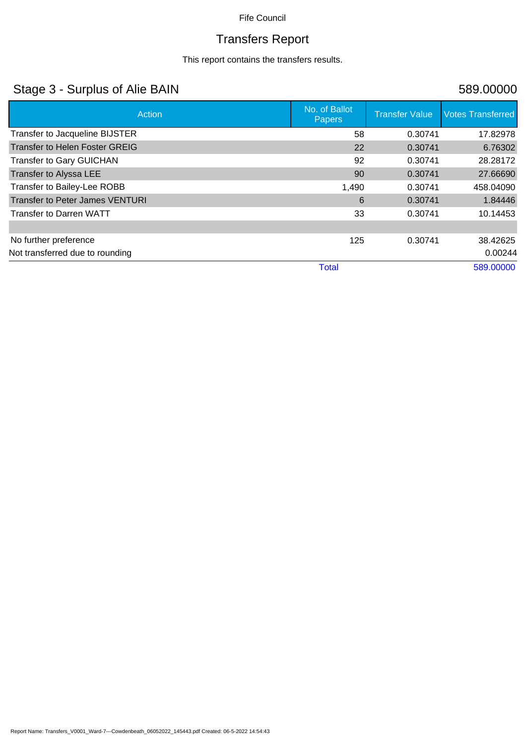# Transfers Report

This report contains the transfers results.

# Stage 3 - Surplus of Alie BAIN 589.00000

| Action                                 | No. of Ballot<br><b>Papers</b> | <b>Transfer Value</b> | <b>Votes Transferred</b> |
|----------------------------------------|--------------------------------|-----------------------|--------------------------|
| Transfer to Jacqueline BIJSTER         | 58                             | 0.30741               | 17.82978                 |
| <b>Transfer to Helen Foster GREIG</b>  | 22                             | 0.30741               | 6.76302                  |
| <b>Transfer to Gary GUICHAN</b>        | 92                             | 0.30741               | 28.28172                 |
| Transfer to Alyssa LEE                 | 90                             | 0.30741               | 27.66690                 |
| Transfer to Bailey-Lee ROBB            | 1,490                          | 0.30741               | 458.04090                |
| <b>Transfer to Peter James VENTURI</b> | 6                              | 0.30741               | 1.84446                  |
| <b>Transfer to Darren WATT</b>         | 33                             | 0.30741               | 10.14453                 |
|                                        |                                |                       |                          |
| No further preference                  | 125                            | 0.30741               | 38.42625                 |
| Not transferred due to rounding        |                                |                       | 0.00244                  |
|                                        | <b>Total</b>                   |                       | 589.00000                |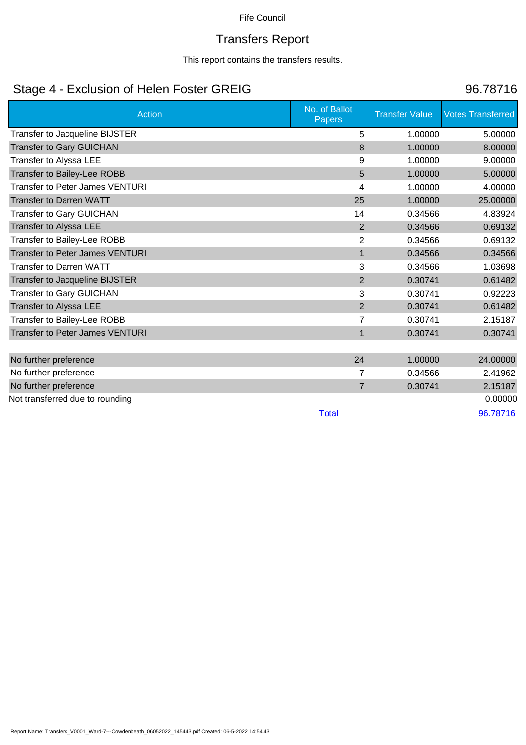# Transfers Report

This report contains the transfers results.

# Stage 4 - Exclusion of Helen Foster GREIG 86.78716

| <b>Action</b>                          | No. of Ballot<br><b>Papers</b> | <b>Transfer Value</b> | <b>Votes Transferred</b> |
|----------------------------------------|--------------------------------|-----------------------|--------------------------|
| Transfer to Jacqueline BIJSTER         | 5                              | 1.00000               | 5.00000                  |
| <b>Transfer to Gary GUICHAN</b>        | 8                              | 1.00000               | 8.00000                  |
| Transfer to Alyssa LEE                 | 9                              | 1.00000               | 9.00000                  |
| Transfer to Bailey-Lee ROBB            | 5                              | 1.00000               | 5.00000                  |
| <b>Transfer to Peter James VENTURI</b> | 4                              | 1.00000               | 4.00000                  |
| <b>Transfer to Darren WATT</b>         | 25                             | 1.00000               | 25.00000                 |
| <b>Transfer to Gary GUICHAN</b>        | 14                             | 0.34566               | 4.83924                  |
| Transfer to Alyssa LEE                 | $\overline{2}$                 | 0.34566               | 0.69132                  |
| Transfer to Bailey-Lee ROBB            | 2                              | 0.34566               | 0.69132                  |
| <b>Transfer to Peter James VENTURI</b> | $\mathbf{1}$                   | 0.34566               | 0.34566                  |
| <b>Transfer to Darren WATT</b>         | 3                              | 0.34566               | 1.03698                  |
| Transfer to Jacqueline BIJSTER         | $\overline{2}$                 | 0.30741               | 0.61482                  |
| <b>Transfer to Gary GUICHAN</b>        | 3                              | 0.30741               | 0.92223                  |
| Transfer to Alyssa LEE                 | $\overline{2}$                 | 0.30741               | 0.61482                  |
| Transfer to Bailey-Lee ROBB            | $\overline{7}$                 | 0.30741               | 2.15187                  |
| <b>Transfer to Peter James VENTURI</b> | $\mathbf{1}$                   | 0.30741               | 0.30741                  |
|                                        |                                |                       |                          |
| No further preference                  | 24                             | 1.00000               | 24.00000                 |
| No further preference                  | 7                              | 0.34566               | 2.41962                  |
| No further preference                  | $\overline{7}$                 | 0.30741               | 2.15187                  |
| Not transferred due to rounding        |                                |                       | 0.00000                  |
|                                        | <b>Total</b>                   |                       | 96.78716                 |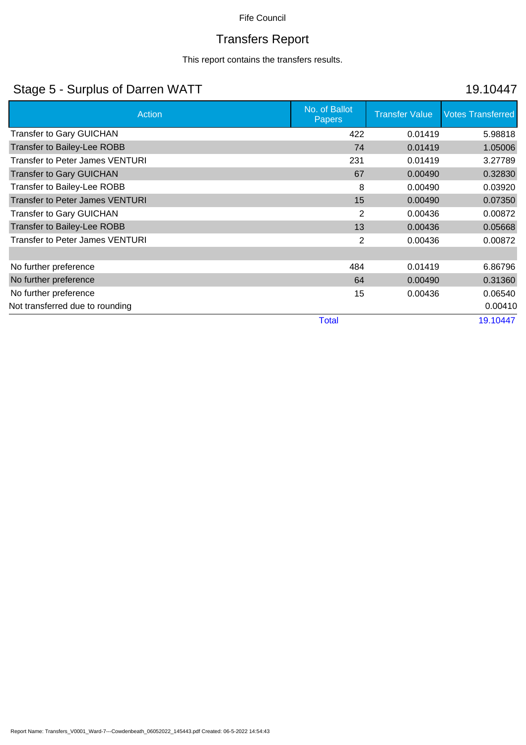# Transfers Report

This report contains the transfers results.

# Stage 5 - Surplus of Darren WATT 19.10447

| Action                                 | No. of Ballot<br><b>Papers</b> | <b>Transfer Value</b> | <b>Votes Transferred</b> |
|----------------------------------------|--------------------------------|-----------------------|--------------------------|
| <b>Transfer to Gary GUICHAN</b>        | 422                            | 0.01419               | 5.98818                  |
| <b>Transfer to Bailey-Lee ROBB</b>     | 74                             | 0.01419               | 1.05006                  |
| <b>Transfer to Peter James VENTURI</b> | 231                            | 0.01419               | 3.27789                  |
| <b>Transfer to Gary GUICHAN</b>        | 67                             | 0.00490               | 0.32830                  |
| Transfer to Bailey-Lee ROBB            | 8                              | 0.00490               | 0.03920                  |
| <b>Transfer to Peter James VENTURI</b> | 15                             | 0.00490               | 0.07350                  |
| <b>Transfer to Gary GUICHAN</b>        | 2                              | 0.00436               | 0.00872                  |
| <b>Transfer to Bailey-Lee ROBB</b>     | 13                             | 0.00436               | 0.05668                  |
| <b>Transfer to Peter James VENTURI</b> | 2                              | 0.00436               | 0.00872                  |
|                                        |                                |                       |                          |
| No further preference                  | 484                            | 0.01419               | 6.86796                  |
| No further preference                  | 64                             | 0.00490               | 0.31360                  |
| No further preference                  | 15                             | 0.00436               | 0.06540                  |
| Not transferred due to rounding        |                                |                       | 0.00410                  |
|                                        | <b>Total</b>                   |                       | 19.10447                 |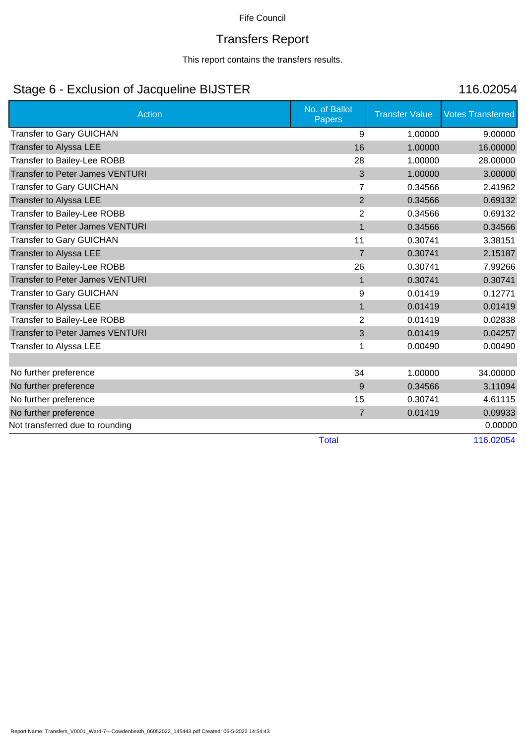# Transfers Report

This report contains the transfers results.

# Stage 6 - Exclusion of Jacqueline BIJSTER 116.02054

| <b>Action</b>                          | No. of Ballot<br>Papers | <b>Transfer Value</b> | <b>Votes Transferred</b> |
|----------------------------------------|-------------------------|-----------------------|--------------------------|
| <b>Transfer to Gary GUICHAN</b>        | 9                       | 1.00000               | 9.00000                  |
| Transfer to Alyssa LEE                 | 16                      | 1.00000               | 16.00000                 |
| Transfer to Bailey-Lee ROBB            | 28                      | 1.00000               | 28.00000                 |
| <b>Transfer to Peter James VENTURI</b> | 3                       | 1.00000               | 3.00000                  |
| <b>Transfer to Gary GUICHAN</b>        | $\overline{7}$          | 0.34566               | 2.41962                  |
| Transfer to Alyssa LEE                 | $\overline{2}$          | 0.34566               | 0.69132                  |
| Transfer to Bailey-Lee ROBB            | $\overline{2}$          | 0.34566               | 0.69132                  |
| <b>Transfer to Peter James VENTURI</b> | $\mathbf{1}$            | 0.34566               | 0.34566                  |
| Transfer to Gary GUICHAN               | 11                      | 0.30741               | 3.38151                  |
| Transfer to Alyssa LEE                 | $\overline{7}$          | 0.30741               | 2.15187                  |
| Transfer to Bailey-Lee ROBB            | 26                      | 0.30741               | 7.99266                  |
| <b>Transfer to Peter James VENTURI</b> | $\mathbf{1}$            | 0.30741               | 0.30741                  |
| <b>Transfer to Gary GUICHAN</b>        | 9                       | 0.01419               | 0.12771                  |
| Transfer to Alyssa LEE                 | $\mathbf{1}$            | 0.01419               | 0.01419                  |
| Transfer to Bailey-Lee ROBB            | 2                       | 0.01419               | 0.02838                  |
| <b>Transfer to Peter James VENTURI</b> | 3                       | 0.01419               | 0.04257                  |
| Transfer to Alyssa LEE                 | 1                       | 0.00490               | 0.00490                  |
|                                        |                         |                       |                          |
| No further preference                  | 34                      | 1.00000               | 34.00000                 |
| No further preference                  | 9                       | 0.34566               | 3.11094                  |
| No further preference                  | 15                      | 0.30741               | 4.61115                  |
| No further preference                  | $\overline{7}$          | 0.01419               | 0.09933                  |
| Not transferred due to rounding        |                         |                       | 0.00000                  |
|                                        | <b>Total</b>            |                       | 116.02054                |

Report Name: Transfers\_V0001\_Ward-7---Cowdenbeath\_06052022\_145443.pdf Created: 06-5-2022 14:54:43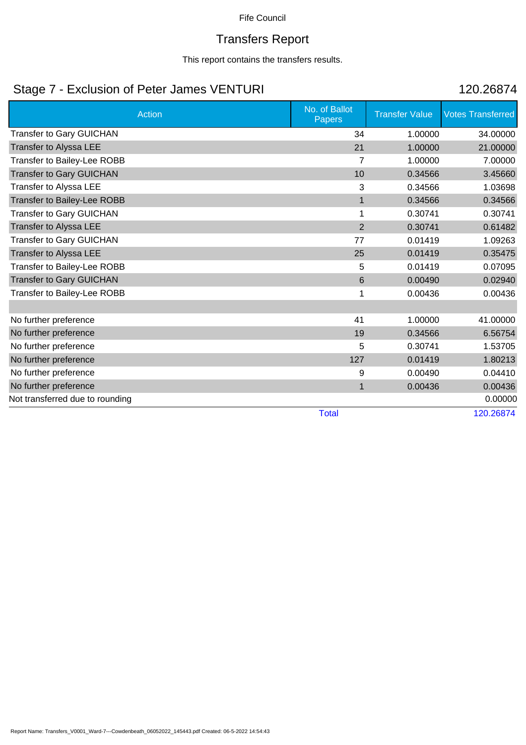# Transfers Report

This report contains the transfers results.

# Stage 7 - Exclusion of Peter James VENTURI 120.26874

| <b>Action</b>                   | No. of Ballot<br>Papers | <b>Transfer Value</b> | <b>Votes Transferred</b> |
|---------------------------------|-------------------------|-----------------------|--------------------------|
| Transfer to Gary GUICHAN        | 34                      | 1.00000               | 34.00000                 |
| Transfer to Alyssa LEE          | 21                      | 1.00000               | 21.00000                 |
| Transfer to Bailey-Lee ROBB     | 7                       | 1.00000               | 7.00000                  |
| <b>Transfer to Gary GUICHAN</b> | 10                      | 0.34566               | 3.45660                  |
| Transfer to Alyssa LEE          | 3                       | 0.34566               | 1.03698                  |
| Transfer to Bailey-Lee ROBB     | $\mathbf{1}$            | 0.34566               | 0.34566                  |
| <b>Transfer to Gary GUICHAN</b> | 1                       | 0.30741               | 0.30741                  |
| Transfer to Alyssa LEE          | $\overline{2}$          | 0.30741               | 0.61482                  |
| Transfer to Gary GUICHAN        | 77                      | 0.01419               | 1.09263                  |
| Transfer to Alyssa LEE          | 25                      | 0.01419               | 0.35475                  |
| Transfer to Bailey-Lee ROBB     | 5                       | 0.01419               | 0.07095                  |
| <b>Transfer to Gary GUICHAN</b> | 6                       | 0.00490               | 0.02940                  |
| Transfer to Bailey-Lee ROBB     |                         | 0.00436               | 0.00436                  |
|                                 |                         |                       |                          |
| No further preference           | 41                      | 1.00000               | 41.00000                 |
| No further preference           | 19                      | 0.34566               | 6.56754                  |
| No further preference           | 5                       | 0.30741               | 1.53705                  |
| No further preference           | 127                     | 0.01419               | 1.80213                  |
| No further preference           | 9                       | 0.00490               | 0.04410                  |
| No further preference           | $\mathbf{1}$            | 0.00436               | 0.00436                  |
| Not transferred due to rounding |                         |                       | 0.00000                  |

Total 120.26874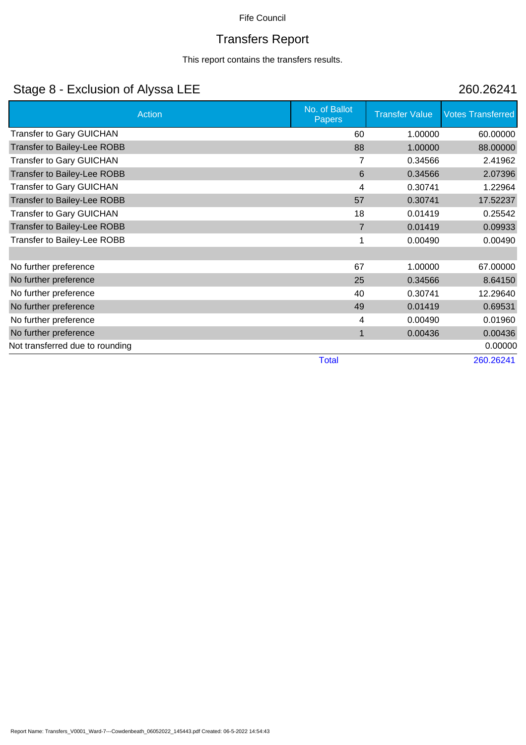# Transfers Report

This report contains the transfers results.

# Stage 8 - Exclusion of Alyssa LEE 260.26241

| Action                             | No. of Ballot<br><b>Papers</b> | <b>Transfer Value</b> | <b>Votes Transferred</b> |
|------------------------------------|--------------------------------|-----------------------|--------------------------|
| Transfer to Gary GUICHAN           | 60                             | 1.00000               | 60.00000                 |
| <b>Transfer to Bailey-Lee ROBB</b> | 88                             | 1.00000               | 88.00000                 |
| <b>Transfer to Gary GUICHAN</b>    | 7                              | 0.34566               | 2.41962                  |
| Transfer to Bailey-Lee ROBB        | 6                              | 0.34566               | 2.07396                  |
| <b>Transfer to Gary GUICHAN</b>    | 4                              | 0.30741               | 1.22964                  |
| <b>Transfer to Bailey-Lee ROBB</b> | 57                             | 0.30741               | 17.52237                 |
| <b>Transfer to Gary GUICHAN</b>    | 18                             | 0.01419               | 0.25542                  |
| <b>Transfer to Bailey-Lee ROBB</b> | $\overline{7}$                 | 0.01419               | 0.09933                  |
| Transfer to Bailey-Lee ROBB        | 1                              | 0.00490               | 0.00490                  |
|                                    |                                |                       |                          |
| No further preference              | 67                             | 1.00000               | 67.00000                 |
| No further preference              | 25                             | 0.34566               | 8.64150                  |
| No further preference              | 40                             | 0.30741               | 12.29640                 |
| No further preference              | 49                             | 0.01419               | 0.69531                  |
| No further preference              | 4                              | 0.00490               | 0.01960                  |
| No further preference              | 1                              | 0.00436               | 0.00436                  |
| Not transferred due to rounding    |                                |                       | 0.00000                  |
|                                    | <b>Total</b>                   |                       | 260.26241                |